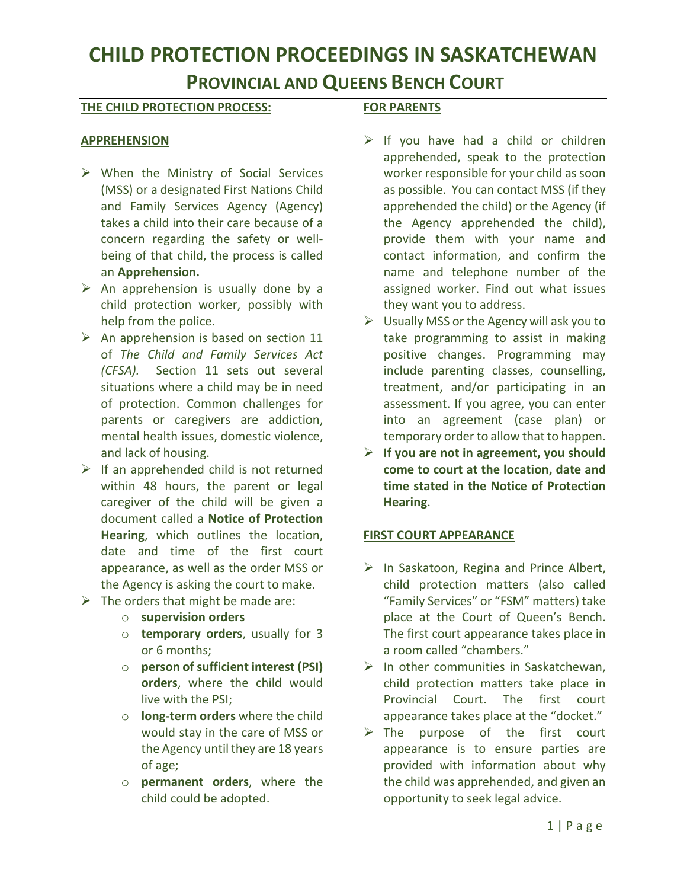## **CHILD PROTECTION PROCEEDINGS IN SASKATCHEWAN**

## **PROVINCIAL AND QUEENS BENCH COURT**

#### **THE CHILD PROTECTION PROCESS:**

#### **APPREHENSION**

- $\triangleright$  When the Ministry of Social Services (MSS) or a designated First Nations Child and Family Services Agency (Agency) takes a child into their care because of a concern regarding the safety or wellbeing of that child, the process is called an **Apprehension.**
- $\triangleright$  An apprehension is usually done by a child protection worker, possibly with help from the police.
- $\triangleright$  An apprehension is based on section 11 of *The Child and Family Services Act (CFSA).* Section 11 sets out several situations where a child may be in need of protection. Common challenges for parents or caregivers are addiction, mental health issues, domestic violence, and lack of housing.
- $\triangleright$  If an apprehended child is not returned within 48 hours, the parent or legal caregiver of the child will be given a document called a **Notice of Protection Hearing**, which outlines the location, date and time of the first court appearance, as well as the order MSS or the Agency is asking the court to make.
- $\triangleright$  The orders that might be made are:
	- o **supervision orders**
	- o **temporary orders**, usually for 3 or 6 months;
	- o **person of sufficient interest (PSI) orders**, where the child would live with the PSI;
	- o **long-term orders** where the child would stay in the care of MSS or the Agency until they are 18 years of age;
	- o **permanent orders**, where the child could be adopted.

#### **FOR PARENTS**

- $\triangleright$  If you have had a child or children apprehended, speak to the protection worker responsible for your child as soon as possible. You can contact MSS (if they apprehended the child) or the Agency (if the Agency apprehended the child), provide them with your name and contact information, and confirm the name and telephone number of the assigned worker. Find out what issues they want you to address.
- $\triangleright$  Usually MSS or the Agency will ask you to take programming to assist in making positive changes. Programming may include parenting classes, counselling, treatment, and/or participating in an assessment. If you agree, you can enter into an agreement (case plan) or temporary order to allow that to happen.
- **If you are not in agreement, you should come to court at the location, date and time stated in the Notice of Protection Hearing**.

#### **FIRST COURT APPEARANCE**

- $\triangleright$  In Saskatoon, Regina and Prince Albert, child protection matters (also called "Family Services" or "FSM" matters) take place at the Court of Queen's Bench. The first court appearance takes place in a room called "chambers."
- $\triangleright$  In other communities in Saskatchewan, child protection matters take place in Provincial Court. The first court appearance takes place at the "docket."
- $\triangleright$  The purpose of the first court appearance is to ensure parties are provided with information about why the child was apprehended, and given an opportunity to seek legal advice.